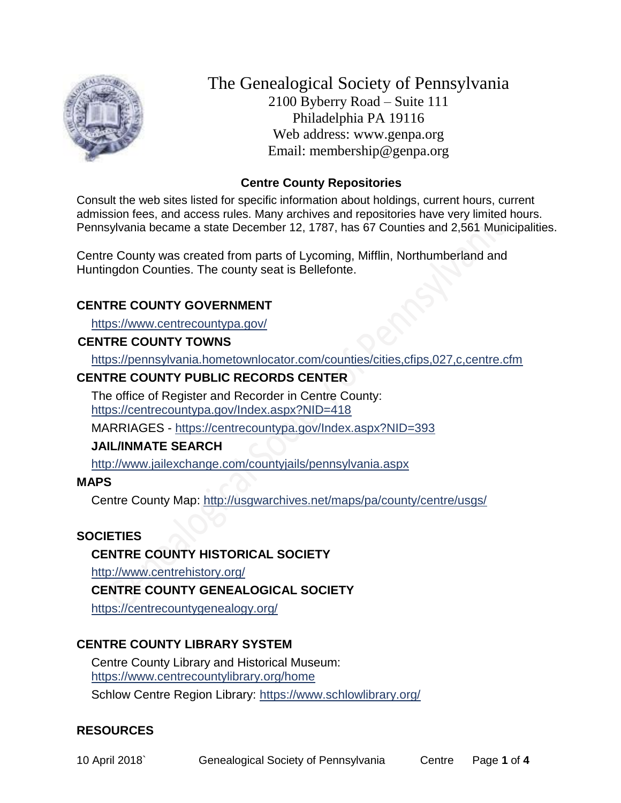

The Genealogical Society of Pennsylvania 2100 Byberry Road – Suite 111 Philadelphia PA 19116 Web address: www.genpa.org Email: membership@genpa.org

## **Centre County Repositories**

Consult the web sites listed for specific information about holdings, current hours, current admission fees, and access rules. Many archives and repositories have very limited hours. Pennsylvania became a state December 12, 1787, has 67 Counties and 2,561 Municipalities.

Centre County was created from parts of Lycoming, Mifflin, Northumberland and Huntingdon Counties. The county seat is Bellefonte.

## **CENTRE COUNTY GOVERNMENT**

<https://www.centrecountypa.gov/>

#### **CENTRE COUNTY TOWNS**

<https://pennsylvania.hometownlocator.com/counties/cities,cfips,027,c,centre.cfm>

## **CENTRE COUNTY PUBLIC RECORDS CENTER**

The office of Register and Recorder in Centre County: <https://centrecountypa.gov/Index.aspx?NID=418>

MARRIAGES - <https://centrecountypa.gov/Index.aspx?NID=393>

### **JAIL/INMATE SEARCH**

<http://www.jailexchange.com/countyjails/pennsylvania.aspx>

#### **MAPS**

Centre County Map:<http://usgwarchives.net/maps/pa/county/centre/usgs/>

### **SOCIETIES**

**CENTRE COUNTY HISTORICAL SOCIETY**

<http://www.centrehistory.org/>

**CENTRE COUNTY GENEALOGICAL SOCIETY**

<https://centrecountygenealogy.org/>

### **CENTRE COUNTY LIBRARY SYSTEM**

Centre County Library and Historical Museum: <https://www.centrecountylibrary.org/home> Schlow Centre Region Library:<https://www.schlowlibrary.org/>

### **RESOURCES**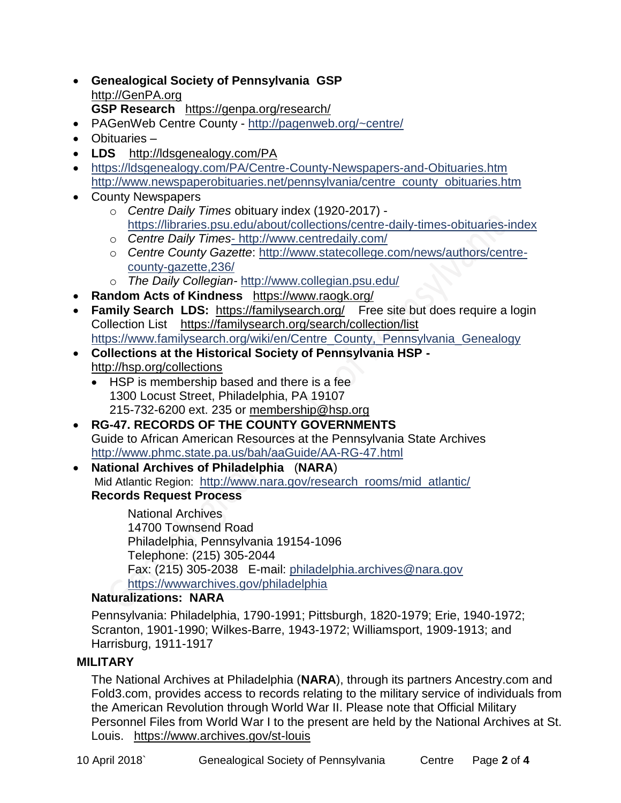- **Genealogical Society of Pennsylvania GSP** [http://GenPA.org](http://genpa.org/) **GSP Research** <https://genpa.org/research/>
- PAGenWeb Centre County <http://pagenweb.org/~centre/>
- Obituaries –
- **LDS** <http://ldsgenealogy.com/PA>
- <https://ldsgenealogy.com/PA/Centre-County-Newspapers-and-Obituaries.htm> [http://www.newspaperobituaries.net/pennsylvania/centre\\_county\\_obituaries.htm](http://www.newspaperobituaries.net/pennsylvania/centre_county_obituaries.htm)
- County Newspapers
	- o *Centre Daily Times* obituary index (1920-2017) <https://libraries.psu.edu/about/collections/centre-daily-times-obituaries-index>
	- o *Centre Daily Times* [http://www.centredaily.com/](-%20http:/www.centredaily.com/)
	- o *Centre County Gazette*: [http://www.statecollege.com/news/authors/centre](http://www.statecollege.com/news/authors/centre-county-gazette,236/)[county-gazette,236/](http://www.statecollege.com/news/authors/centre-county-gazette,236/)
	- o *The Daily Collegian-* <http://www.collegian.psu.edu/>
- **Random Acts of Kindness** <https://www.raogk.org/>
- **Family Search LDS:** <https://familysearch.org/>Free site but does require a login Collection List <https://familysearch.org/search/collection/list> [https://www.familysearch.org/wiki/en/Centre\\_County,\\_Pennsylvania\\_Genealogy](https://www.familysearch.org/wiki/en/Centre_County,_Pennsylvania_Genealogy)
- **Collections at the Historical Society of Pennsylvania HSP**  <http://hsp.org/collections>
	- HSP is membership based and there is a fee 1300 Locust Street, Philadelphia, PA 19107 215-732-6200 ext. 235 or [membership@hsp.org](mailto:membership@hsp.org)
- **RG-47. RECORDS OF THE COUNTY GOVERNMENTS** Guide to African American Resources at the Pennsylvania State Archives <http://www.phmc.state.pa.us/bah/aaGuide/AA-RG-47.html>
- **National Archives of Philadelphia** (**NARA**) Mid Atlantic Region: [http://www.nara.gov/research\\_rooms/mid\\_atlantic/](http://www.nara.gov/research_rooms/mid_atlantic/) **Records Request Process**

National Archives 14700 Townsend Road Philadelphia, Pennsylvania 19154-1096 Telephone: (215) 305-2044 Fax: (215) 305-2038 E-mail: [philadelphia.archives@nara.gov](mailto:philadelphia.archives@nara.gov) <https://wwwarchives.gov/philadelphia>

# **Naturalizations: NARA**

Pennsylvania: Philadelphia, 1790-1991; Pittsburgh, 1820-1979; Erie, 1940-1972; Scranton, 1901-1990; Wilkes-Barre, 1943-1972; Williamsport, 1909-1913; and Harrisburg, 1911-1917

# **MILITARY**

The National Archives at Philadelphia (**NARA**), through its partners Ancestry.com and Fold3.com, provides access to records relating to the military service of individuals from the American Revolution through World War II. Please note that Official Military Personnel Files from World War I to the present are held by the National Archives at St. Louis. <https://www.archives.gov/st-louis>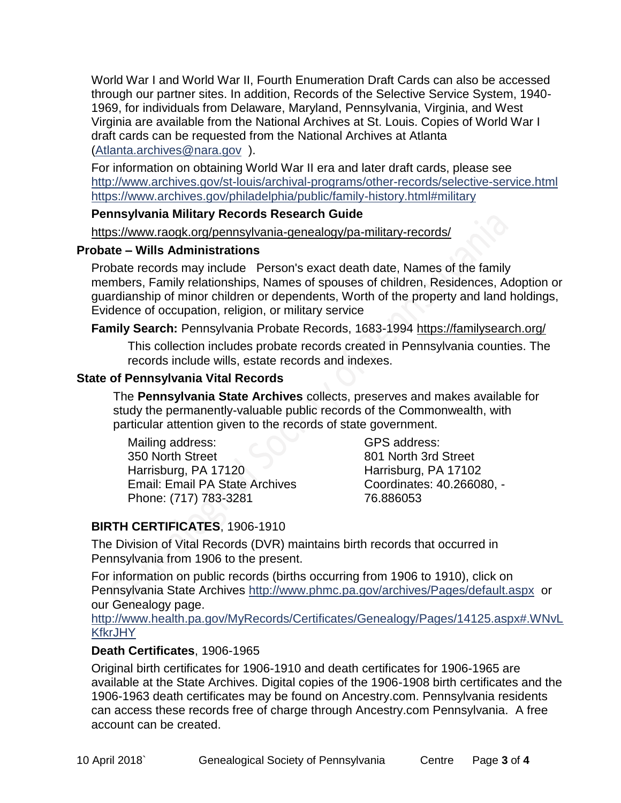World War I and World War II, Fourth Enumeration Draft Cards can also be accessed through our partner sites. In addition, Records of the Selective Service System, 1940- 1969, for individuals from Delaware, Maryland, Pennsylvania, Virginia, and West Virginia are available from the National Archives at St. Louis. Copies of World War I draft cards can be requested from the National Archives at Atlanta [\(Atlanta.archives@nara.gov](mailto:Atlanta.archives@nara.gov) ).

For information on obtaining World War II era and later draft cards, please see <http://www.archives.gov/st-louis/archival-programs/other-records/selective-service.html> <https://www.archives.gov/philadelphia/public/family-history.html#military>

#### **Pennsylvania Military Records Research Guide**

<https://www.raogk.org/pennsylvania-genealogy/pa-military-records/>

#### **Probate – Wills Administrations**

Probate records may include Person's exact death date, Names of the family members, Family relationships, Names of spouses of children, Residences, Adoption or guardianship of minor children or dependents, Worth of the property and land holdings, Evidence of occupation, religion, or military service

### **Family Search:** Pennsylvania Probate Records, 1683-1994 <https://familysearch.org/>

This collection includes probate records created in Pennsylvania counties. The records include wills, estate records and indexes.

### **State of Pennsylvania Vital Records**

The **Pennsylvania State Archives** collects, preserves and makes available for study the permanently-valuable public records of the Commonwealth, with particular attention given to the records of state government.

Mailing address: 350 North Street Harrisburg, PA 17120 Email: Email PA State Archives Phone: (717) 783-3281

GPS address: 801 North 3rd Street Harrisburg, PA 17102 Coordinates: 40.266080, - 76.886053

# **BIRTH CERTIFICATES**, 1906-1910

The Division of Vital Records (DVR) maintains birth records that occurred in Pennsylvania from 1906 to the present.

For information on public records (births occurring from 1906 to 1910), click on Pennsylvania State Archives <http://www.phmc.pa.gov/archives/Pages/default.aspx>or our Genealogy page.

[http://www.health.pa.gov/MyRecords/Certificates/Genealogy/Pages/14125.aspx#.WNvL](http://www.health.pa.gov/MyRecords/Certificates/Genealogy/Pages/14125.aspx#.WNvLKfkrJHY) **[KfkrJHY](http://www.health.pa.gov/MyRecords/Certificates/Genealogy/Pages/14125.aspx#.WNvLKfkrJHY)** 

### **Death Certificates**, 1906-1965

Original birth certificates for 1906-1910 and death certificates for 1906-1965 are available at the State Archives. Digital copies of the 1906-1908 birth certificates and the 1906-1963 death certificates may be found on Ancestry.com. Pennsylvania residents can access these records free of charge through Ancestry.com Pennsylvania. A free account can be created.